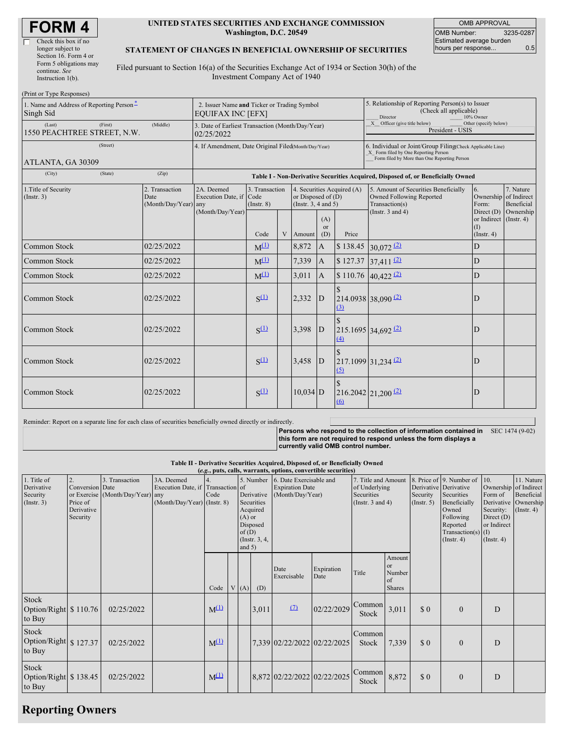| <b>FORM4</b> |  |
|--------------|--|
|--------------|--|

#### **UNITED STATES SECURITIES AND EXCHANGE COMMISSION Washington, D.C. 20549**

OMB APPROVAL OMB Number: 3235-0287 Estimated average burden hours per response... 0.5

#### **STATEMENT OF CHANGES IN BENEFICIAL OWNERSHIP OF SECURITIES**

Filed pursuant to Section 16(a) of the Securities Exchange Act of 1934 or Section 30(h) of the Investment Company Act of 1940

| (Print or Type Responses)                             |                                                                         |                                                                                  |                         |                                                                                                                                                 |                 |                       |                                                                                                             |                                                                                                                                                    |                                      |  |  |
|-------------------------------------------------------|-------------------------------------------------------------------------|----------------------------------------------------------------------------------|-------------------------|-------------------------------------------------------------------------------------------------------------------------------------------------|-----------------|-----------------------|-------------------------------------------------------------------------------------------------------------|----------------------------------------------------------------------------------------------------------------------------------------------------|--------------------------------------|--|--|
| 1. Name and Address of Reporting Person-<br>Singh Sid | 2. Issuer Name and Ticker or Trading Symbol<br><b>EQUIFAX INC [EFX]</b> |                                                                                  |                         |                                                                                                                                                 |                 |                       | 5. Relationship of Reporting Person(s) to Issuer<br>(Check all applicable)<br>Director<br>10% Owner         |                                                                                                                                                    |                                      |  |  |
| (Last)<br>(First)<br>1550 PEACHTREE STREET, N.W.      | 3. Date of Earliest Transaction (Month/Day/Year)<br>02/25/2022          |                                                                                  |                         |                                                                                                                                                 |                 |                       | X Officer (give title below)<br>Other (specify below)<br>President - USIS                                   |                                                                                                                                                    |                                      |  |  |
| (Street)<br>ATLANTA, GA 30309                         |                                                                         | 4. If Amendment, Date Original Filed (Month/Day/Year)                            |                         |                                                                                                                                                 |                 |                       |                                                                                                             | 6. Individual or Joint/Group Filing(Check Applicable Line)<br>X Form filed by One Reporting Person<br>Form filed by More than One Reporting Person |                                      |  |  |
| (City)<br>(State)                                     | (Zip)                                                                   | Table I - Non-Derivative Securities Acquired, Disposed of, or Beneficially Owned |                         |                                                                                                                                                 |                 |                       |                                                                                                             |                                                                                                                                                    |                                      |  |  |
| 1. Title of Security<br>(Insert. 3)                   | 2. Transaction<br>Date<br>(Month/Day/Year) any                          | 2A. Deemed<br>Execution Date, if Code<br>(Month/Day/Year)                        | $($ Instr. $8)$<br>Code | 3. Transaction<br>4. Securities Acquired (A)<br>or Disposed of $(D)$<br>(Instr. $3, 4$ and $5$ )<br>(A)<br><sub>or</sub><br>$\mathbf{V}$<br>(D) |                 | Price                 | 5. Amount of Securities Beneficially<br>Owned Following Reported<br>Transaction(s)<br>(Instr. $3$ and $4$ ) | 6.<br>Ownership of Indirect<br>Form:<br>Direct (D)<br>or Indirect (Instr. 4)<br>(1)<br>(Insert. 4)                                                 | 7. Nature<br>Beneficial<br>Ownership |  |  |
| <b>Common Stock</b>                                   | 02/25/2022                                                              |                                                                                  | $M^{(1)}$               |                                                                                                                                                 | Amount<br>8,872 | $\mathbf{A}$          | \$138.45                                                                                                    | $30,072$ $(2)$                                                                                                                                     | D                                    |  |  |
| Common Stock                                          | 02/25/2022                                                              |                                                                                  | $M^{(1)}$               |                                                                                                                                                 | 7,339           | $\boldsymbol{\rm{A}}$ | \$127.37                                                                                                    | $37,411$ $(2)$                                                                                                                                     | D                                    |  |  |
| Common Stock                                          | 02/25/2022                                                              |                                                                                  | $M^{(1)}$               |                                                                                                                                                 | 3,011           | $\mathbf{A}$          |                                                                                                             | \$110.76 40,422 $(2)$                                                                                                                              | D                                    |  |  |
| Common Stock                                          | 02/25/2022                                                              |                                                                                  | $S^{(1)}$               |                                                                                                                                                 | 2,332           | D                     | $\mathcal{S}$<br>(3)                                                                                        | $214.0938$ 38,090 (2)                                                                                                                              | D                                    |  |  |
| Common Stock                                          | 02/25/2022                                                              |                                                                                  | $S^{(1)}$               |                                                                                                                                                 | 3,398           | <sup>D</sup>          | (4)                                                                                                         | $215.1695$ 34,692 (2)                                                                                                                              | D                                    |  |  |
| Common Stock                                          | 02/25/2022                                                              |                                                                                  | $S^{(1)}$               |                                                                                                                                                 | 3,458           | $\mathbf D$           | (5)                                                                                                         | $217.1099$ 31,234 (2)                                                                                                                              | D                                    |  |  |
| Common Stock                                          | 02/25/2022                                                              |                                                                                  | $S^{(1)}$               |                                                                                                                                                 | $10,034$ D      |                       | (6)                                                                                                         | $216.2042$ $21,200$ $2$                                                                                                                            | D                                    |  |  |

Reminder: Report on a separate line for each class of securities beneficially owned directly or indirectly.

**Persons who respond to the collection of information contained in** SEC 1474 (9-02) **this form are not required to respond unless the form displays a currently valid OMB control number.**

**Table II - Derivative Securities Acquired, Disposed of, or Beneficially Owned**

| (e.g., puts, calls, warrants, options, convertible securities) |                                                       |                                                    |                                                                                |           |      |                               |                                                                                  |                                                                       |                    |                                                                             |                                               |                                                       |                                                                                                                                 |                                                                                                                  |                                                      |
|----------------------------------------------------------------|-------------------------------------------------------|----------------------------------------------------|--------------------------------------------------------------------------------|-----------|------|-------------------------------|----------------------------------------------------------------------------------|-----------------------------------------------------------------------|--------------------|-----------------------------------------------------------------------------|-----------------------------------------------|-------------------------------------------------------|---------------------------------------------------------------------------------------------------------------------------------|------------------------------------------------------------------------------------------------------------------|------------------------------------------------------|
| 1. Title of<br>Derivative<br>Security<br>(Insert. 3)           | Conversion Date<br>Price of<br>Derivative<br>Security | 3. Transaction<br>or Exercise (Month/Day/Year) any | 3A. Deemed<br>Execution Date, if Transaction of<br>(Month/Day/Year) (Instr. 8) | Code      |      | $(A)$ or<br>of(D)<br>and $5)$ | 5. Number<br>Derivative<br>Securities<br>Acquired<br>Disposed<br>(Instr. $3, 4,$ | 6. Date Exercisable and<br><b>Expiration Date</b><br>(Month/Day/Year) |                    | 7. Title and Amount<br>of Underlying<br>Securities<br>(Instr. $3$ and $4$ ) |                                               | Derivative Derivative<br>Security<br>$($ Instr. 5 $)$ | 8. Price of 9. Number of<br>Securities<br>Beneficially<br>Owned<br>Following<br>Reported<br>Transaction(s) $(I)$<br>(Insert. 4) | 10.<br>Ownership of Indirect<br>Form of<br>Derivative<br>Security:<br>Direct $(D)$<br>or Indirect<br>(Insert. 4) | 11. Nature<br>Beneficial<br>Ownership<br>(Insert. 4) |
|                                                                |                                                       |                                                    |                                                                                | Code      | V(A) |                               | (D)                                                                              | Date<br>Exercisable                                                   | Expiration<br>Date | Title                                                                       | Amount<br>or<br>Number<br>of<br><b>Shares</b> |                                                       |                                                                                                                                 |                                                                                                                  |                                                      |
| Stock<br>Option/Right \$110.76<br>to Buy                       |                                                       | 02/25/2022                                         |                                                                                | $M^{(1)}$ |      |                               | 3,011                                                                            | (7)                                                                   | 02/22/2029         | Common<br>Stock                                                             | 3,011                                         | \$0                                                   | $\Omega$                                                                                                                        | D                                                                                                                |                                                      |
| Stock<br>Option/Right \$127.37<br>to Buy                       |                                                       | 02/25/2022                                         |                                                                                | $M^{(1)}$ |      |                               |                                                                                  | 7,339 02/22/2022 02/22/2025                                           |                    | Common<br>Stock                                                             | 7,339                                         | \$0                                                   | $\mathbf{0}$                                                                                                                    | D                                                                                                                |                                                      |
| Stock<br>Option/Right \$138.45<br>to Buy                       |                                                       | 02/25/2022                                         |                                                                                | $M^{(1)}$ |      |                               |                                                                                  | 8,872 02/22/2022 02/22/2025                                           |                    | Common<br>Stock                                                             | 8,872                                         | \$0                                                   | $\Omega$                                                                                                                        | D                                                                                                                |                                                      |

# **Reporting Owners**